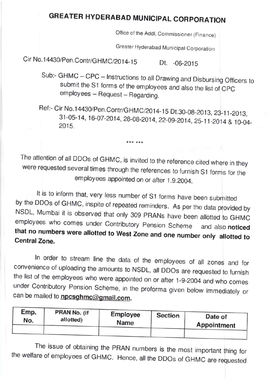## GREATER HYDERABAD MuNiCiPAL CoRPORAT10N

Office of the Addl. Commissioner (Finance)

Greater Hyderabad Municipal Corporation

Cir No.14430/Pen.Contr/GHMC/2014-15 Dt. -06-2015

- Sub:- GHMC CPC Instructions to all Drawing and Disbursing Officers to submit the S1 forms of the employees and also the list of CPC employees Request Regarding.
- Ref:- Cir No.14430/Pen.Contr/GHMC/2014-15 Dt.30-08-2013, 23-11-2013, 31-05-14, 16-07-2014, 28-08-2014, 22-09-2014, 25-11-2014 & 10-04-<br>2015.

The attention of all DDOs of GHMC, is invited to the reference cited where in they were requested several times through the references to furnish S1 forms for the employees appointed on or after 1.9.2004.

\*\*\* \*\*\*

It is to inform that, very less number of S1 forms have been submitted<br>by the DDOs of GHMC, inspite of repeated reminders. As per the data provided by<br>NSDL, Mumbai it is observed that only 309 PRANs have been allotted to G

In order to stream line the data of the employees of all zones and for<br>convenience of uploading the amounts to NSDL, all DDOs are requested to furnish<br>the list of the employees who were appointed on or after 1-9-2004 and w can be mailed to **npcsghmc@gmail.com.** 

| Emp. | PRAN No. (if | Employee | <b>Section</b> | Date of     |
|------|--------------|----------|----------------|-------------|
| No.  | allotted)    | Name     |                | Appointment |
|      |              |          |                |             |

The issue of obtaining the PRAN numbers is the most important thing for the welfare of employees of GHMC. Hence, all the DDOS of GHMC are requested